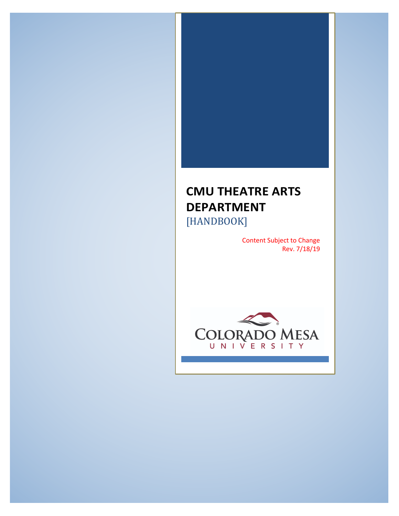# **CMU THEATRE ARTS DEPARTMENT** [HANDBOOK]

Content Subject to Change Rev. 7/18/19

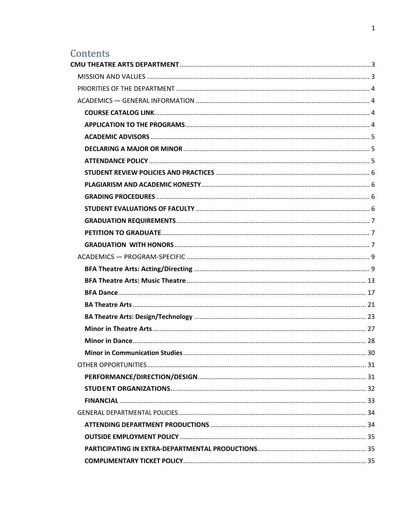# Contents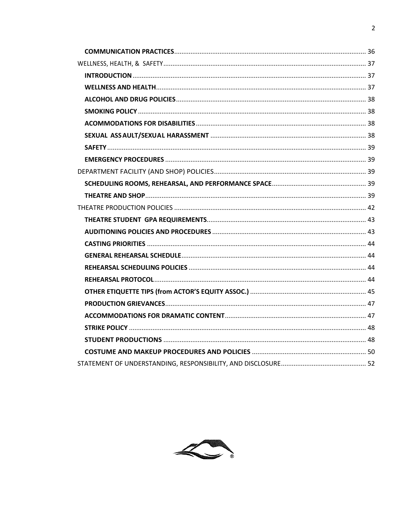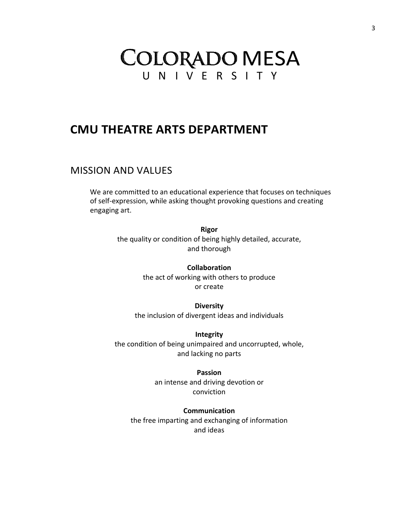# **COLORADO MESA** U N I V E R S I T Y

# **CMU THEATRE ARTS DEPARTMENT**

# MISSION AND VALUES

We are committed to an educational experience that focuses on techniques of self-expression, while asking thought provoking questions and creating engaging art.

> **Rigor** the quality or condition of being highly detailed, accurate, and thorough

> > **Collaboration** the act of working with others to produce or create

**Diversity** the inclusion of divergent ideas and individuals

**Integrity** the condition of being unimpaired and uncorrupted, whole, and lacking no parts

> **Passion** an intense and driving devotion or conviction

**Communication** the free imparting and exchanging of information and ideas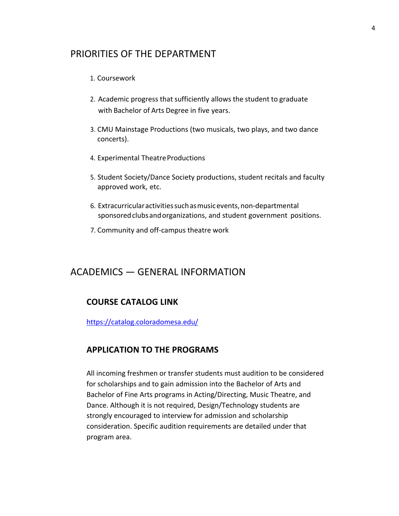# PRIORITIES OF THE DEPARTMENT

## 1. Coursework

- 2. Academic progress that sufficiently allows the student to graduate with Bachelor of Arts Degree in five years.
- 3. CMU Mainstage Productions (two musicals, two plays, and two dance concerts).
- 4. Experimental Theatre Productions
- 5. Student Society/Dance Society productions, student recitals and faculty approved work, etc.
- 6. Extracurricularactivitiessuchasmusicevents,non-departmental sponsored clubs and organizations, and student government positions.
- 7. Community and off-campus theatre work

# ACADEMICS — GENERAL INFORMATION

## **COURSE CATALOG LINK**

https://catalog.coloradomesa.edu/

## **APPLICATION TO THE PROGRAMS**

All incoming freshmen or transfer students must audition to be considered for scholarships and to gain admission into the Bachelor of Arts and Bachelor of Fine Arts programs in Acting/Directing, Music Theatre, and Dance. Although it is not required, Design/Technology students are strongly encouraged to interview for admission and scholarship consideration. Specific audition requirements are detailed under that program area.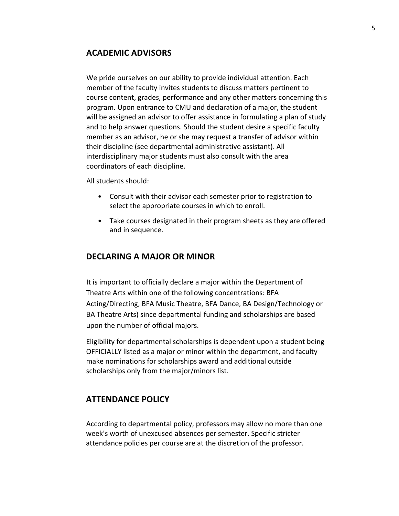## **ACADEMIC ADVISORS**

We pride ourselves on our ability to provide individual attention. Each member of the faculty invites students to discuss matters pertinent to course content, grades, performance and any other matters concerning this program. Upon entrance to CMU and declaration of a major, the student will be assigned an advisor to offer assistance in formulating a plan of study and to help answer questions. Should the student desire a specific faculty member as an advisor, he or she may request a transfer of advisor within their discipline (see departmental administrative assistant). All interdisciplinary major students must also consult with the area coordinators of each discipline.

All students should:

- Consult with their advisor each semester prior to registration to select the appropriate courses in which to enroll.
- Take courses designated in their program sheets as they are offered and in sequence.

## **DECLARING A MAJOR OR MINOR**

It is important to officially declare a major within the Department of Theatre Arts within one of the following concentrations: BFA Acting/Directing, BFA Music Theatre, BFA Dance, BA Design/Technology or BA Theatre Arts) since departmental funding and scholarships are based upon the number of official majors.

Eligibility for departmental scholarships is dependent upon a student being OFFICIALLY listed as a major or minor within the department, and faculty make nominations for scholarships award and additional outside scholarships only from the major/minors list.

## **ATTENDANCE POLICY**

According to departmental policy, professors may allow no more than one week's worth of unexcused absences per semester. Specific stricter attendance policies per course are at the discretion of the professor.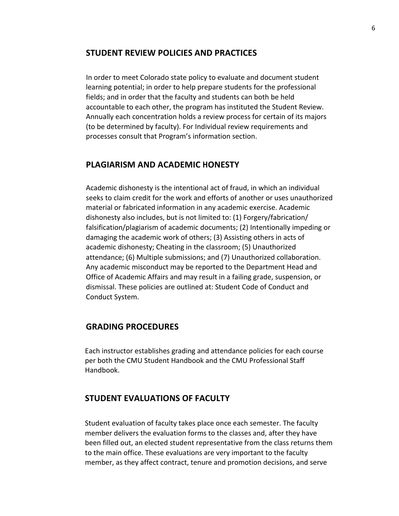## **STUDENT REVIEW POLICIES AND PRACTICES**

In order to meet Colorado state policy to evaluate and document student learning potential; in order to help prepare students for the professional fields; and in order that the faculty and students can both be held accountable to each other, the program has instituted the Student Review. Annually each concentration holds a review process for certain of its majors (to be determined by faculty). For Individual review requirements and processes consult that Program's information section.

## **PLAGIARISM AND ACADEMIC HONESTY**

Academic dishonesty is the intentional act of fraud, in which an individual seeks to claim credit for the work and efforts of another or uses unauthorized material or fabricated information in any academic exercise. Academic dishonesty also includes, but is not limited to: (1) Forgery/fabrication/ falsification/plagiarism of academic documents; (2) Intentionally impeding or damaging the academic work of others; (3) Assisting others in acts of academic dishonesty; Cheating in the classroom; (5) Unauthorized attendance; (6) Multiple submissions; and (7) Unauthorized collaboration. Any academic misconduct may be reported to the Department Head and Office of Academic Affairs and may result in a failing grade, suspension, or dismissal. These policies are outlined at: Student Code of Conduct and Conduct System.

## **GRADING PROCEDURES**

Each instructor establishes grading and attendance policies for each course per both the CMU Student Handbook and the CMU Professional Staff Handbook.

## **STUDENT EVALUATIONS OF FACULTY**

Student evaluation of faculty takes place once each semester. The faculty member delivers the evaluation forms to the classes and, after they have been filled out, an elected student representative from the class returns them to the main office. These evaluations are very important to the faculty member, as they affect contract, tenure and promotion decisions, and serve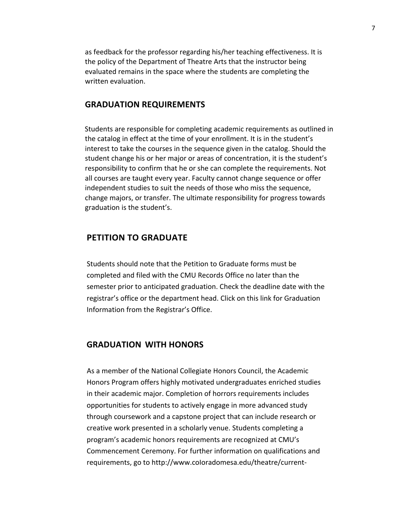as feedback for the professor regarding his/her teaching effectiveness. It is the policy of the Department of Theatre Arts that the instructor being evaluated remains in the space where the students are completing the written evaluation.

## **GRADUATION REQUIREMENTS**

Students are responsible for completing academic requirements as outlined in the catalog in effect at the time of your enrollment. It is in the student's interest to take the courses in the sequence given in the catalog. Should the student change his or her major or areas of concentration, it is the student's responsibility to confirm that he or she can complete the requirements. Not all courses are taught every year. Faculty cannot change sequence or offer independent studies to suit the needs of those who miss the sequence, change majors, or transfer. The ultimate responsibility for progress towards graduation is the student's.

## **PETITION TO GRADUATE**

Students should note that the Petition to Graduate forms must be completed and filed with the CMU Records Office no later than the semester prior to anticipated graduation. Check the deadline date with the registrar's office or the department head. Click on this link for Graduation Information from the Registrar's Office.

## **GRADUATION WITH HONORS**

As a member of the National Collegiate Honors Council, the Academic Honors Program offers highly motivated undergraduates enriched studies in their academic major. Completion of horrors requirements includes opportunities for students to actively engage in more advanced study through coursework and a capstone project that can include research or creative work presented in a scholarly venue. Students completing a program's academic honors requirements are recognized at CMU's Commencement Ceremony. For further information on qualifications and requirements, go to http://www.coIoradomesa.edu/theatre/current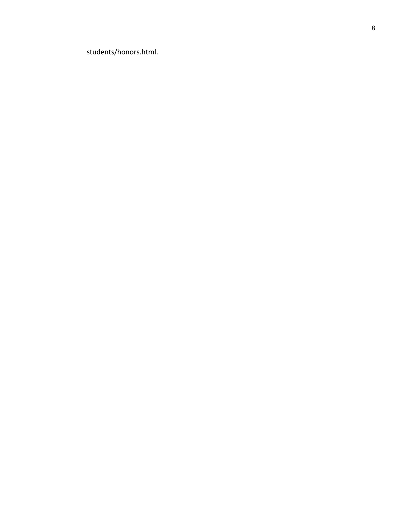students/honors.html.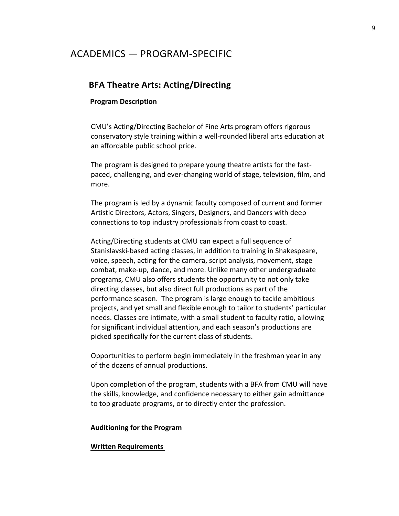# ACADEMICS — PROGRAM-SPECIFIC

## **BFA Theatre Arts: Acting/Directing**

#### **Program Description**

CMU's Acting/Directing Bachelor of Fine Arts program offers rigorous conservatory style training within a well-rounded liberal arts education at an affordable public school price.

The program is designed to prepare young theatre artists for the fastpaced, challenging, and ever-changing world of stage, television, film, and more.

The program is led by a dynamic faculty composed of current and former Artistic Directors, Actors, Singers, Designers, and Dancers with deep connections to top industry professionals from coast to coast.

Acting/Directing students at CMU can expect a full sequence of Stanislavski-based acting classes, in addition to training in Shakespeare, voice, speech, acting for the camera, script analysis, movement, stage combat, make-up, dance, and more. Unlike many other undergraduate programs, CMU also offers students the opportunity to not only take directing classes, but also direct full productions as part of the performance season. The program is large enough to tackle ambitious projects, and yet small and flexible enough to tailor to students' particular needs. Classes are intimate, with a small student to faculty ratio, allowing for significant individual attention, and each season's productions are picked specifically for the current class of students.

Opportunities to perform begin immediately in the freshman year in any of the dozens of annual productions.

Upon completion of the program, students with a BFA from CMU will have the skills, knowledge, and confidence necessary to either gain admittance to top graduate programs, or to directly enter the profession.

#### **Auditioning for the Program**

### **Written Requirements**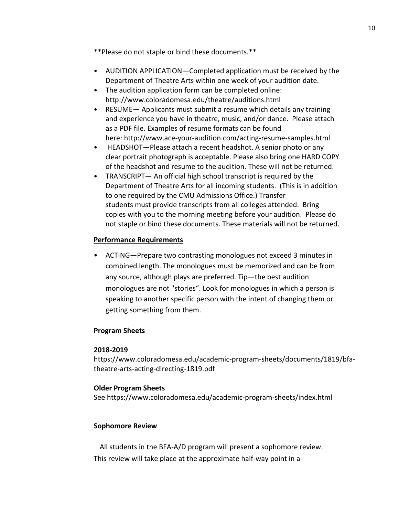- \*\*Please do not staple or bind these documents.\*\*
- AUDITION APPLICATION—Completed application must be received by the Department of Theatre Arts within one week of your audition date.
- The audition application form can be completed online: http://www.coloradomesa.edu/theatre/auditions.html
- RESUME— Applicants must submit a resume which details any training and experience you have in theatre, music, and/or dance. Please attach as a PDF file. Examples of resume formats can be found here: http://www.ace-your-audition.com/acting-resume-samples.html
- HEADSHOT—Please attach a recent headshot. A senior photo or any clear portrait photograph is acceptable. Please also bring one HARD COPY of the headshot and resume to the audition. These will not be returned.
- TRANSCRIPT— An official high school transcript is required by the Department of Theatre Arts for all incoming students. (This is in addition to one required by the CMU Admissions Office.) Transfer students must provide transcripts from all colleges attended. Bring copies with you to the morning meeting before your audition. Please do not staple or bind these documents. These materials will not be returned.

## **Performance Requirements**

• ACTING—Prepare two contrasting monologues not exceed 3 minutes in combined length. The monologues must be memorized and can be from any source, although plays are preferred. Tip—the best audition monologues are not "stories". Look for monologues in which a person is speaking to another specific person with the intent of changing them or getting something from them.

## **Program Sheets**

## **2018-2019**

https://www.coloradomesa.edu/academic-program-sheets/documents/1819/bfatheatre-arts-acting-directing-1819.pdf

## **Older Program Sheets**

See https://www.coloradomesa.edu/academic-program-sheets/index.html

## **Sophomore Review**

All students in the BFA-A/D program will present a sophomore review. This review will take place at the approximate half-way point in a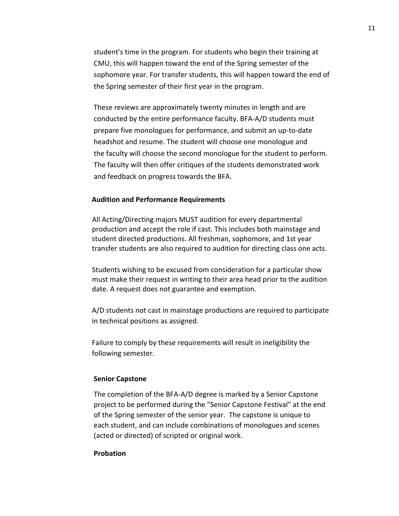student's time in the program. For students who begin their training at CMU, this will happen toward the end of the Spring semester of the sophomore year. For transfer students, this will happen toward the end of the Spring semester of their first year in the program.

These reviews are approximately twenty minutes in length and are conducted by the entire performance faculty. BFA-A/D students must prepare five monologues for performance, and submit an up-to-date headshot and resume. The student will choose one monologue and the faculty will choose the second monologue for the student to perform. The faculty will then offer critiques of the students demonstrated work and feedback on progress towards the BFA.

#### **Audition and Performance Requirements**

All Acting/Directing majors MUST audition for every departmental production and accept the role if cast. This includes both mainstage and student directed productions. All freshman, sophomore, and 1st year transfer students are also required to audition for directing class one acts.

Students wishing to be excused from consideration for a particular show must make their request in writing to their area head prior to the audition date. A request does not guarantee and exemption.

A/D students not cast in mainstage productions are required to participate in technical positions as assigned.

Failure to comply by these requirements will result in ineligibility the following semester.

#### **Senior Capstone**

The completion of the BFA-A/D degree is marked by a Senior Capstone project to be performed during the "Senior Capstone Festival" at the end of the Spring semester of the senior year. The capstone is unique to each student, and can include combinations of monologues and scenes (acted or directed) of scripted or original work.

#### **Probation**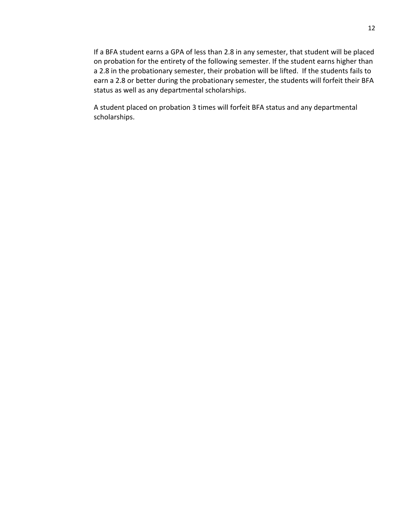If a BFA student earns a GPA of less than 2.8 in any semester, that student will be placed on probation for the entirety of the following semester. If the student earns higher than a 2.8 in the probationary semester, their probation will be lifted. If the students fails to earn a 2.8 or better during the probationary semester, the students will forfeit their BFA status as well as any departmental scholarships.

A student placed on probation 3 times will forfeit BFA status and any departmental scholarships.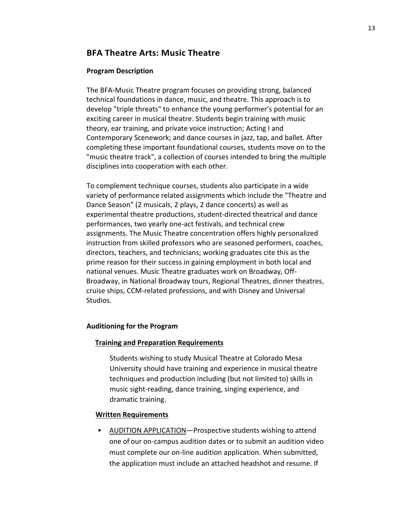## **BFA Theatre Arts: Music Theatre**

## **Program Description**

The BFA-Music Theatre program focuses on providing strong, balanced technical foundations in dance, music, and theatre. This approach is to develop "triple threats" to enhance the young performer's potential for an exciting career in musical theatre. Students begin training with music theory, ear training, and private voice instruction; Acting I and Contemporary Scenework; and dance courses in jazz, tap, and ballet. After completing these important foundational courses, students move on to the "music theatre track", a collection of courses intended to bring the multiple disciplines into cooperation with each other.

To complement technique courses, students also participate in a wide variety of performance related assignments which include the "Theatre and Dance Season" (2 musicals, 2 plays, 2 dance concerts) as well as experimental theatre productions, student-directed theatrical and dance performances, two yearly one-act festivals, and technical crew assignments. The Music Theatre concentration offers highly personalized instruction from skilled professors who are seasoned performers, coaches, directors, teachers, and technicians; working graduates cite this as the prime reason for their success in gaining employment in both local and national venues. Music Theatre graduates work on Broadway, Off-Broadway, in National Broadway tours, Regional Theatres, dinner theatres, cruise ships, CCM-related professions, and with Disney and Universal Studios.

## **Auditioning for the Program**

### **Training and Preparation Requirements**

Students wishing to study Musical Theatre at Colorado Mesa University should have training and experience in musical theatre techniques and production including (but not limited to) skills in music sight-reading, dance training, singing experience, and dramatic training.

### **Written Requirements**

• AUDITION APPLICATION—Prospective students wishing to attend one of our on-campus audition dates or to submit an audition video must complete our on-line audition application. When submitted, the application must include an attached headshot and resume. If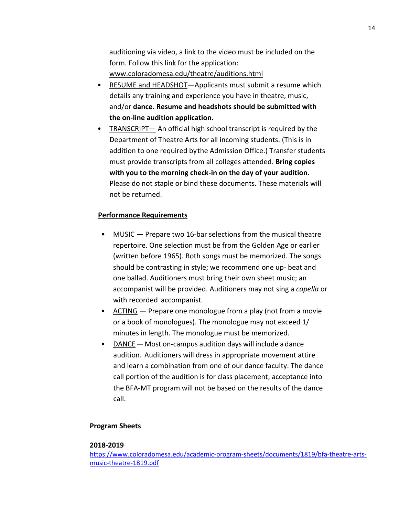auditioning via video, a link to the video must be included on the form. Follow this link for the application: www.coloradomesa.edu/theatre/auditions.html

- RESUME and HEADSHOT—Applicants must submit a resume which details any training and experience you have in theatre, music, and/or **dance. Resume and headshots should be submitted with the on-line audition application.**
- TRANSCRIPT— An official high school transcript is required by the Department of Theatre Arts for all incoming students. (This is in addition to one required bythe Admission Office.) Transfer students must provide transcripts from all colleges attended. **Bring copies with you to the morning check-in on the day of your audition.**  Please do not staple or bind these documents. These materials will not be returned.

## **Performance Requirements**

- MUSIC Prepare two 16-bar selections from the musical theatre repertoire. One selection must be from the Golden Age or earlier (written before 1965). Both songs must be memorized. The songs should be contrasting in style; we recommend one up- beat and one ballad. Auditioners must bring their own sheet music; an accompanist will be provided. Auditioners may not sing a *capella* or with recorded accompanist.
- ACTING Prepare one monologue from a play (not from a movie or a book of monologues). The monologue may not exceed 1/ minutes in length. The monologue must be memorized.
- DANCE—Most on-campus audition days will include a dance audition. Auditioners will dress in appropriate movement attire and learn a combination from one of our dance faculty. The dance call portion of the audition is for class placement; acceptance into the BFA-MT program will not be based on the results of the dance call.

#### **Program Sheets**

#### **2018-2019**

https://www.coloradomesa.edu/academic-program-sheets/documents/1819/bfa-theatre-artsmusic-theatre-1819.pdf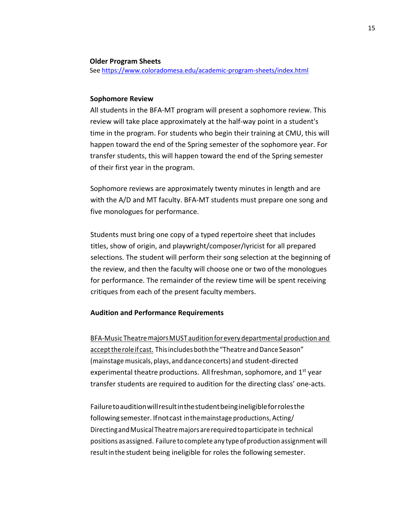#### **Older Program Sheets**

See https://www.coloradomesa.edu/academic-program-sheets/index.html

#### **Sophomore Review**

All students in the BFA-MT program will present a sophomore review. This review will take place approximately at the half-way point in a student's time in the program. For students who begin their training at CMU, this will happen toward the end of the Spring semester of the sophomore year. For transfer students, this will happen toward the end of the Spring semester of their first year in the program.

Sophomore reviews are approximately twenty minutes in length and are with the A/D and MT faculty. BFA-MT students must prepare one song and five monologues for performance.

Students must bring one copy of a typed repertoire sheet that includes titles, show of origin, and playwright/composer/Iyricist for all prepared selections. The student will perform their song selection at the beginning of the review, and then the faculty will choose one or two ofthe monologues for performance. The remainder of the review time will be spent receiving critiques from each of the present faculty members.

#### **Audition and Performance Requirements**

BFA-Music Theatre majors MUST audition for every departmental production and accept the role if cast. This includes both the "Theatre and Dance Season" (mainstage musicals, plays, and dance concerts) and student-directed experimental theatre productions. All freshman, sophomore, and  $1<sup>st</sup>$  year transfer students are required to audition for the directing class' one-acts.

Failuretoauditionwillresultinthestudentbeingineligibleforrolesthe followingsemester. Ifnotcast inthemainstage productions, Acting/ DirectingandMusical Theatremajors arerequired toparticipate in technical positions asassigned. Failure to complete any typeofproduction assignment will result in the student being ineligible for roles the following semester.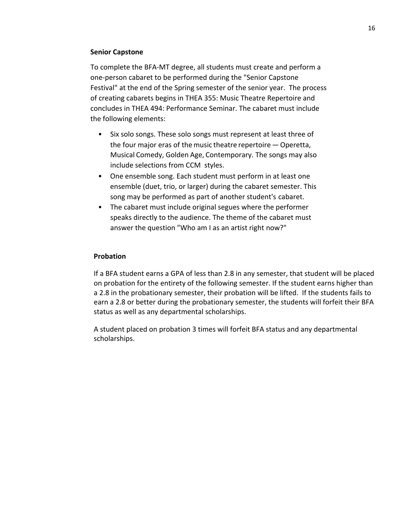## **Senior Capstone**

To complete the BFA-MT degree, all students must create and perform a one-person cabaret to be performed during the "Senior Capstone Festival" at the end of the Spring semester of the senior year. The process of creating cabarets begins in THEA 355: Music Theatre Repertoire and concludes in THEA 494: Performance Seminar. The cabaret must include the following elements:

- Six solo songs. These solo songs must represent at least three of the four major eras of the music theatre repertoire - Operetta, Musical Comedy, Golden Age, Contemporary. The songs may also include selections from CCM styles.
- One ensemble song. Each student must perform in at least one ensemble (duet, trio, or larger) during the cabaret semester. This song may be performed as part of another student's cabaret.
- The cabaret must include original segues where the performer speaks directly to the audience. The theme of the cabaret must answer the question "Who am I as an artist right now?"

## **Probation**

If a BFA student earns a GPA of less than 2.8 in any semester, that student will be placed on probation for the entirety of the following semester. If the student earns higher than a 2.8 in the probationary semester, their probation will be lifted. If the students fails to earn a 2.8 or better during the probationary semester, the students will forfeit their BFA status as well as any departmental scholarships.

A student placed on probation 3 times will forfeit BFA status and any departmental scholarships.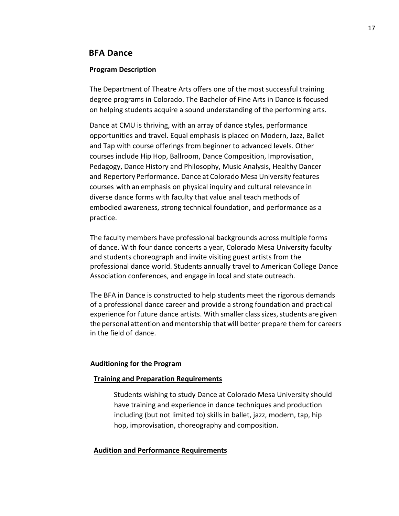## **BFA Dance**

#### **Program Description**

The Department of Theatre Arts offers one of the most successful training degree programs in Colorado. The Bachelor of Fine Arts in Dance is focused on helping students acquire a sound understanding of the performing arts.

Dance at CMU is thriving, with an array of dance styles, performance opportunities and travel. Equal emphasis is placed on Modern, Jazz, Ballet and Tap with course offerings from beginner to advanced levels. Other courses include Hip Hop, Ballroom, Dance Composition, Improvisation, Pedagogy, Dance History and Philosophy, Music Analysis, Healthy Dancer and Repertory Performance. Dance at Colorado Mesa University features courses with an emphasis on physical inquiry and cultural relevance in diverse dance forms with faculty that value anal teach methods of embodied awareness, strong technical foundation, and performance as a practice.

The faculty members have professional backgrounds across multiple forms of dance. With four dance concerts a year, Colorado Mesa University faculty and students choreograph and invite visiting guest artists from the professional dance worId. Students annually travel to American College Dance Association conferences, and engage in local and state outreach.

The BFA in Dance is constructed to help students meet the rigorous demands of a professional dance career and provide a strong foundation and practical experience for future dance artists. With smaller class sizes, students are given the personal attention andmentorship that will better prepare them for careers in the field of dance.

#### **Auditioning for the Program**

#### **Training and Preparation Requirements**

Students wishing to study Dance at Colorado Mesa University should have training and experience in dance techniques and production including (but not limited to) skills in ballet, jazz, modern, tap, hip hop, improvisation, choreography and composition.

#### **Audition and Performance Requirements**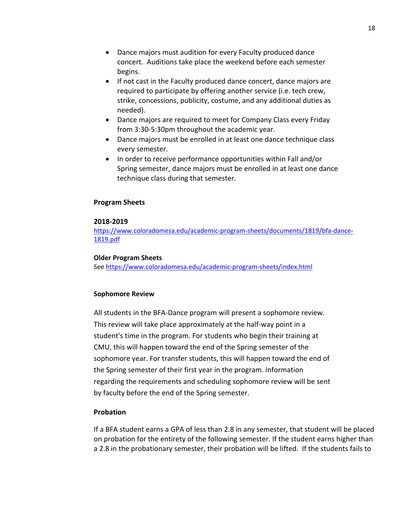- Dance majors must audition for every Faculty produced dance concert. Auditions take place the weekend before each semester begins.
- If not cast in the Faculty produced dance concert, dance majors are required to participate by offering another service (i.e. tech crew, strike, concessions, publicity, costume, and any additional duties as needed).
- Dance majors are required to meet for Company Class every Friday from 3:30-5:30pm throughout the academic year.
- Dance majors must be enrolled in at least one dance technique class every semester.
- In order to receive performance opportunities within Fall and/or Spring semester, dance majors must be enrolled in at least one dance technique class during that semester.

## **Program Sheets**

## **2018-2019**

https://www.coloradomesa.edu/academic-program-sheets/documents/1819/bfa-dance-1819.pdf

### **Older Program Sheets**

See https://www.coloradomesa.edu/academic-program-sheets/index.html

## **Sophomore Review**

All students in the BFA-Dance program will present a sophomore review. This review will take place approximately at the half-way point in a student's time in the program. For students who begin their training at CMU, this will happen toward the end of the Spring semester of the sophomore year. For transfer students, this will happen toward the end of the Spring semester of their first year in the program. Information regarding the requirements and scheduling sophomore review will be sent by faculty before the end of the Spring semester.

## **Probation**

If a BFA student earns a GPA of less than 2.8 in any semester, that student will be placed on probation for the entirety of the following semester. If the student earns higher than a 2.8 in the probationary semester, their probation will be lifted. If the students fails to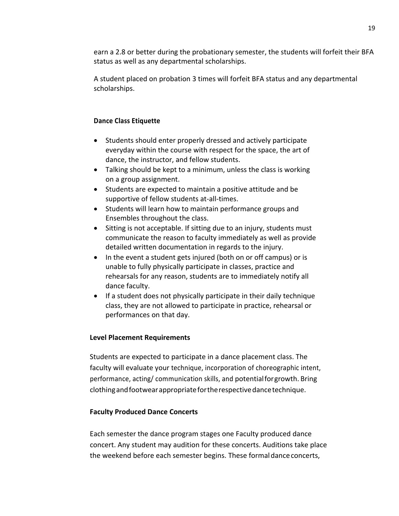earn a 2.8 or better during the probationary semester, the students will forfeit their BFA status as well as any departmental scholarships.

A student placed on probation 3 times will forfeit BFA status and any departmental scholarships.

## **Dance Class Etiquette**

- Students should enter properly dressed and actively participate everyday within the course with respect for the space, the art of dance, the instructor, and fellow students.
- Talking should be kept to a minimum, unless the class is working on a group assignment.
- Students are expected to maintain a positive attitude and be supportive of fellow students at-all-times.
- Students will learn how to maintain performance groups and Ensembles throughout the class.
- Sitting is not acceptable. If sitting due to an injury, students must communicate the reason to faculty immediately as well as provide detailed written documentation in regards to the injury.
- In the event a student gets injured (both on or off campus) or is unable to fully physically participate in classes, practice and rehearsals for any reason, students are to immediately notify all dance faculty.
- If a student does not physically participate in their daily technique class, they are not allowed to participate in practice, rehearsal or performances on that day.

## **Level Placement Requirements**

Students are expected to participate in a dance placement class. The faculty will evaluate your technique, incorporation of choreographic intent, performance, acting/ communication skills, and potentialforgrowth. Bring clothingandfootwearappropriatefortherespectivedancetechnique.

## **Faculty Produced Dance Concerts**

Each semester the dance program stages one Faculty produced dance concert. Any student may audition for these concerts. Auditions take place the weekend before each semester begins. These formaldanceconcerts,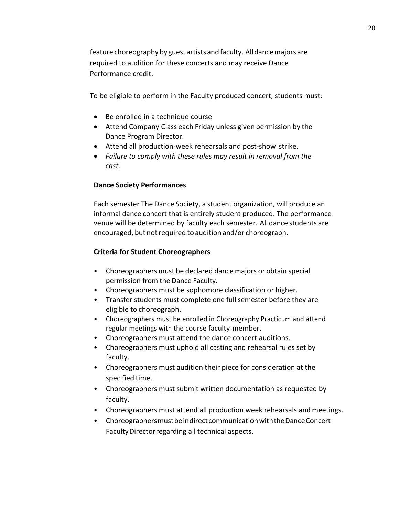feature choreography by guest artists and faculty. All dance majors are required to audition for these concerts and may receive Dance Performance credit.

To be eligible to perform in the Faculty produced concert, students must:

- Be enrolled in a technique course
- Attend Company Class each Friday unless given permission by the Dance Program Director.
- Attend all production-week rehearsals and post-show strike.
- *Failure to comply with these rules may result in removal from the cast.*

## **Dance Society Performances**

Each semester The Dance Society, a student organization, will produce an informal dance concert that is entirely student produced. The performance venue will be determined by faculty each semester. Alldance students are encouraged, but not required to audition and/or choreograph.

## **Criteria for Student Choreographers**

- Choreographers must be declared dance majors or obtain special permission from the Dance Faculty.
- Choreographers must be sophomore classification or higher.
- Transfer students must complete one full semester before they are eligible to choreograph.
- Choreographers must be enrolled in Choreography Practicum and attend regular meetings with the course faculty member.
- Choreographers must attend the dance concert auditions.
- Choreographers must uphold all casting and rehearsal rules set by faculty.
- Choreographers must audition their piece for consideration at the specified time.
- Choreographers must submit written documentation as requested by faculty.
- Choreographers must attend all production week rehearsals and meetings.
- ChoreographersmustbeindirectcommunicationwiththeDanceConcert FacultyDirectorregarding all technical aspects.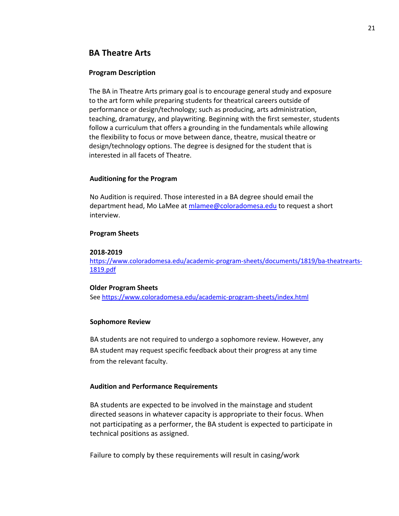## **BA Theatre Arts**

#### **Program Description**

The BA in Theatre Arts primary goal is to encourage general study and exposure to the art form while preparing students for theatrical careers outside of performance or design/technology; such as producing, arts administration, teaching, dramaturgy, and playwriting. Beginning with the first semester, students follow a curriculum that offers a grounding in the fundamentals while allowing the flexibility to focus or move between dance, theatre, musical theatre or design/technology options. The degree is designed for the student that is interested in all facets of Theatre.

#### **Auditioning for the Program**

No Audition is required. Those interested in a BA degree should email the department head, Mo LaMee at mlamee@coloradomesa.edu to request a short interview.

#### **Program Sheets**

#### **2018-2019**

https://www.coloradomesa.edu/academic-program-sheets/documents/1819/ba-theatrearts-1819.pdf

#### **Older Program Sheets**

See https://www.coloradomesa.edu/academic-program-sheets/index.html

#### **Sophomore Review**

BA students are not required to undergo a sophomore review. However, any BA student may request specific feedback about their progress at any time from the relevant faculty.

#### **Audition and Performance Requirements**

BA students are expected to be involved in the mainstage and student directed seasons in whatever capacity is appropriate to their focus. When not participating as a performer, the BA student is expected to participate in technical positions as assigned.

Failure to comply by these requirements will result in casing/work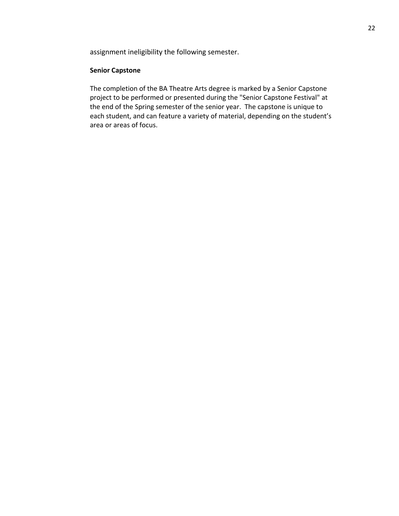assignment ineligibility the following semester.

#### **Senior Capstone**

The completion of the BA Theatre Arts degree is marked by a Senior Capstone project to be performed or presented during the "Senior Capstone Festival" at the end of the Spring semester of the senior year. The capstone is unique to each student, and can feature a variety of material, depending on the student's area or areas of focus.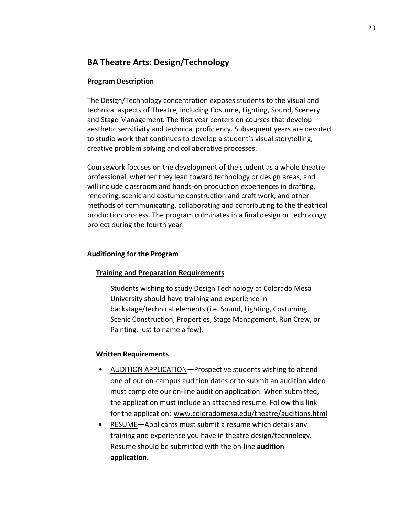# **BA Theatre Arts: Design/Technology**

## **Program Description**

The Design/Technology concentration exposes students to the visual and technical aspects of Theatre, including Costume, Lighting, Sound, Scenery and Stage Management. The first year centers on courses that develop aesthetic sensitivity and technical proficiency. Subsequent years are devoted to studio work that continues to develop a student's visual storytelling, creative problem solving and collaborative processes.

Coursework focuses on the development of the student as a whole theatre professional, whether they lean toward technology or design areas, and will include classroom and hands-on production experiences in drafting, rendering, scenic and costume construction and craft work, and other methods of communicating, collaborating and contributing to the theatrical production process. The program culminates in a final design or technology project during the fourth year.

## **Auditioning for the Program**

## **Training and Preparation Requirements**

Students wishing to study Design Technology at Colorado Mesa University should have training and experience in backstage/technical elements (i.e. Sound, Lighting, Costuming, Scenic Construction, Properties, Stage Management, Run Crew, or Painting, just to name a few).

## **Written Requirements**

- AUDITION APPLICATION—Prospective students wishing to attend one of our on-campus audition dates or to submit an audition video must complete our on-line audition application. When submitted, the application must include an attached resume. Follow this link for the application: www.coloradomesa.edu/theatre/auditions.html
- RESUME—Applicants must submit a resume which details any training and experience you have in theatre design/technology. Resume should be submitted with the on-line **audition application.**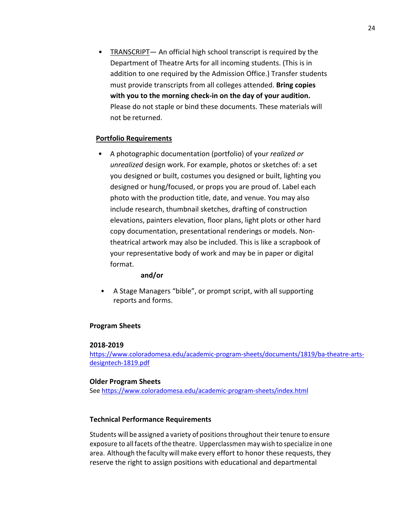• TRANSCRIPT— An official high school transcript is required by the Department of Theatre Arts for all incoming students. (This is in addition to one required by the Admission Office.) Transfer students must provide transcripts from all colleges attended. **Bring copies with you to the morning check-in on the day of your audition.**  Please do not staple or bind these documents. These materials will not be returned.

## **Portfolio Requirements**

• A photographic documentation (portfolio) of your *realized or unrealized* design work. For example, photos or sketches of: a set you designed or built, costumes you designed or built, lighting you designed or hung/focused, or props you are proud of. Label each photo with the production title, date, and venue. You may also include research, thumbnail sketches, drafting of construction elevations, painters elevation, floor plans, light plots or other hard copy documentation, presentational renderings or models. Nontheatrical artwork may also be included. This is like a scrapbook of your representative body of work and may be in paper or digital format.

### **and/or**

• A Stage Managers "bible", or prompt script, with all supporting reports and forms.

## **Program Sheets**

### **2018-2019**

https://www.coloradomesa.edu/academic-program-sheets/documents/1819/ba-theatre-artsdesigntech-1819.pdf

### **Older Program Sheets**

See https://www.coloradomesa.edu/academic-program-sheets/index.html

## **Technical Performance Requirements**

Students will be assigned a variety of positions throughout their tenure to ensure exposure to all facets of the theatre. Upperclassmen may wish to specialize in one area. Although the faculty will make every effort to honor these requests, they reserve the right to assign positions with educational and departmental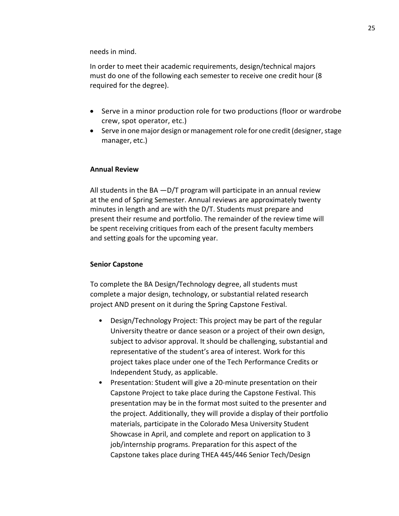needs in mind.

In order to meet their academic requirements, design/technical majors must do one of the following each semester to receive one credit hour (8 required for the degree).

- Serve in a minor production role for two productions (floor or wardrobe crew, spot operator, etc.)
- Serve in one major design or management role for one credit (designer, stage manager, etc.)

### **Annual Review**

All students in the BA  $-D/T$  program will participate in an annual review at the end of Spring Semester. Annual reviews are approximately twenty minutes in length and are with the D/T. Students must prepare and present their resume and portfolio. The remainder of the review time will be spent receiving critiques from each of the present faculty members and setting goals for the upcoming year.

#### **Senior Capstone**

To complete the BA Design/Technology degree, all students must complete a major design, technology, or substantial related research project AND present on it during the Spring Capstone Festival.

- Design/Technology Project: This project may be part of the regular University theatre or dance season or a project of their own design, subject to advisor approval. It should be challenging, substantial and representative of the student's area of interest. Work for this project takes place under one of the Tech Performance Credits or Independent Study, as applicable.
- Presentation: Student will give a 20-minute presentation on their Capstone Project to take place during the Capstone Festival. This presentation may be in the format most suited to the presenter and the project. Additionally, they will provide a display of their portfolio materials, participate in the Colorado Mesa University Student Showcase in April, and complete and report on application to 3 job/internship programs. Preparation for this aspect of the Capstone takes place during THEA 445/446 Senior Tech/Design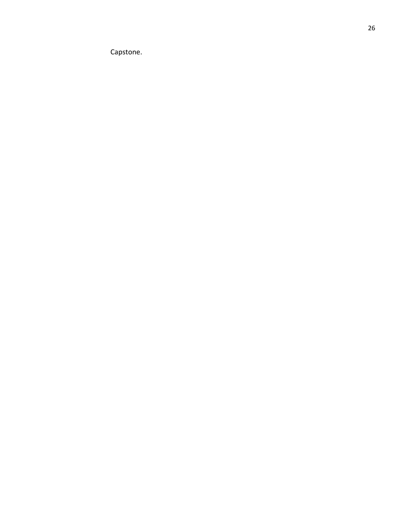Capstone.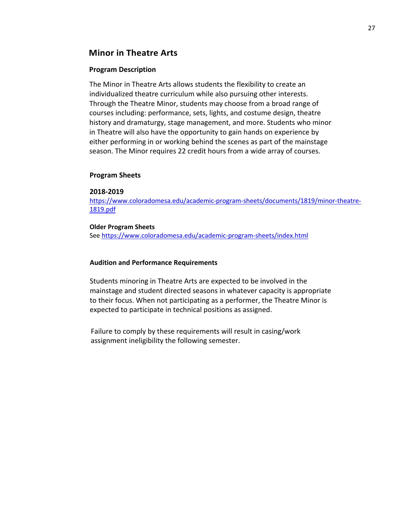## **Minor in Theatre Arts**

### **Program Description**

The Minor in Theatre Arts allows students the flexibility to create an individualized theatre curriculum while also pursuing other interests. Through the Theatre Minor, students may choose from a broad range of courses including: performance, sets, lights, and costume design, theatre history and dramaturgy, stage management, and more. Students who minor in Theatre will also have the opportunity to gain hands on experience by either performing in or working behind the scenes as part of the mainstage season. The Minor requires 22 credit hours from a wide array of courses.

## **Program Sheets**

#### **2018-2019**

https://www.coloradomesa.edu/academic-program-sheets/documents/1819/minor-theatre-1819.pdf

#### **Older Program Sheets**

See https://www.coloradomesa.edu/academic-program-sheets/index.html

### **Audition and Performance Requirements**

Students minoring in Theatre Arts are expected to be involved in the mainstage and student directed seasons in whatever capacity is appropriate to their focus. When not participating as a performer, the Theatre Minor is expected to participate in technical positions as assigned.

Failure to comply by these requirements will result in casing/work assignment ineligibility the following semester.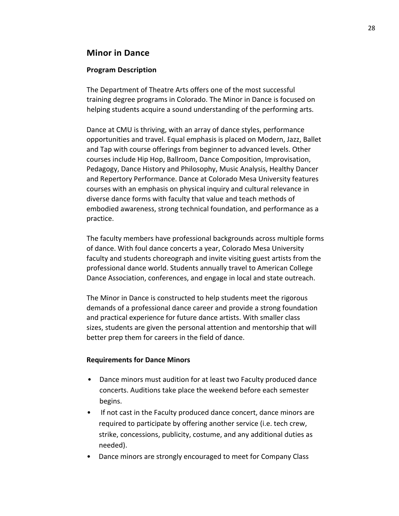## **Minor in Dance**

## **Program Description**

The Department of Theatre Arts offers one of the most successful training degree programs in Colorado. The Minor in Dance is focused on helping students acquire a sound understanding of the performing arts.

Dance at CMU is thriving, with an array of dance styles, performance opportunities and travel. Equal emphasis is placed on Modern, Jazz, Ballet and Tap with course offerings from beginner to advanced levels. Other courses include Hip Hop, Ballroom, Dance Composition, Improvisation, Pedagogy, Dance History and Philosophy, Music Analysis, Healthy Dancer and Repertory Performance. Dance at Colorado Mesa University features courses with an emphasis on physical inquiry and cultural relevance in diverse dance forms with faculty that value and teach methods of embodied awareness, strong technical foundation, and performance as a practice.

The faculty members have professional backgrounds across multiple forms of dance. With foul dance concerts a year, Colorado Mesa University faculty and students choreograph and invite visiting guest artists from the professional dance world. Students annually travel to American College Dance Association, conferences, and engage in local and state outreach.

The Minor in Dance is constructed to help students meet the rigorous demands of a professional dance career and provide a strong foundation and practical experience for future dance artists. With smaller class sizes, students are given the personal attention and mentorship that will better prep them for careers in the field of dance.

### **Requirements for Dance Minors**

- Dance minors must audition for at least two Faculty produced dance concerts. Auditions take place the weekend before each semester begins.
- If not cast in the Faculty produced dance concert, dance minors are required to participate by offering another service (i.e. tech crew, strike, concessions, publicity, costume, and any additional duties as needed).
- Dance minors are strongly encouraged to meet for Company Class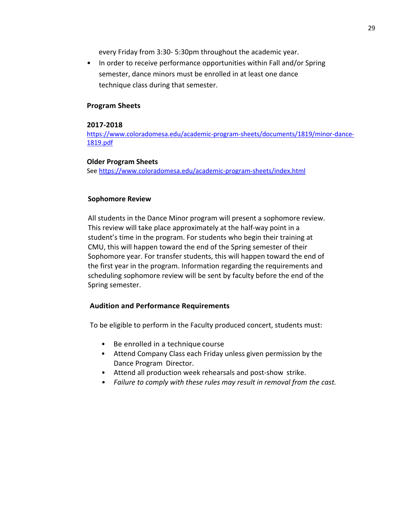every Friday from 3:30- 5:30pm throughout the academic year.

• In order to receive performance opportunities within Fall and/or Spring semester, dance minors must be enrolled in at least one dance technique class during that semester.

## **Program Sheets**

### **2017-2018**

https://www.coloradomesa.edu/academic-program-sheets/documents/1819/minor-dance-1819.pdf

#### **Older Program Sheets**

See https://www.coloradomesa.edu/academic-program-sheets/index.html

## **Sophomore Review**

All students in the Dance Minor program will present a sophomore review. This review will take place approximately at the half-way point in a student's time in the program. For students who begin their training at CMU, this will happen toward the end of the Spring semester of their Sophomore year. For transfer students, this will happen toward the end of the first year in the program. Information regarding the requirements and scheduling sophomore review will be sent by faculty before the end of the Spring semester.

### **Audition and Performance Requirements**

To be eligible to perform in the Faculty produced concert, students must:

- Be enrolled in a technique course
- Attend Company Class each Friday unless given permission by the Dance Program Director.
- Attend all production week rehearsals and post-show strike.
- *• Failure to comply with these rules may result in removal from the cast.*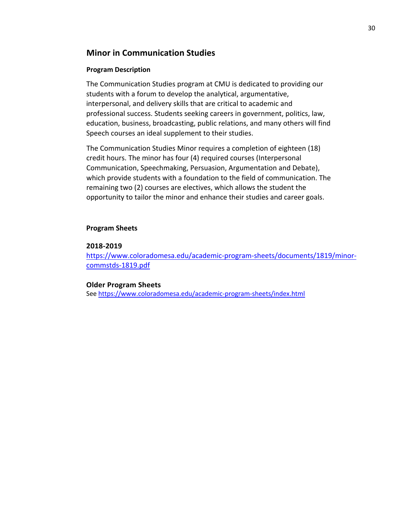## **Minor in Communication Studies**

## **Program Description**

The Communication Studies program at CMU is dedicated to providing our students with a forum to develop the analytical, argumentative, interpersonal, and delivery skills that are critical to academic and professional success. Students seeking careers in government, politics, law, education, business, broadcasting, public relations, and many others will find Speech courses an ideal supplement to their studies.

The Communication Studies Minor requires a completion of eighteen (18) credit hours. The minor has four (4) required courses (Interpersonal Communication, Speechmaking, Persuasion, Argumentation and Debate), which provide students with a foundation to the field of communication. The remaining two (2) courses are electives, which allows the student the opportunity to tailor the minor and enhance their studies and career goals.

## **Program Sheets**

## **2018-2019**

https://www.coloradomesa.edu/academic-program-sheets/documents/1819/minorcommstds-1819.pdf

## **Older Program Sheets**

See https://www.coloradomesa.edu/academic-program-sheets/index.html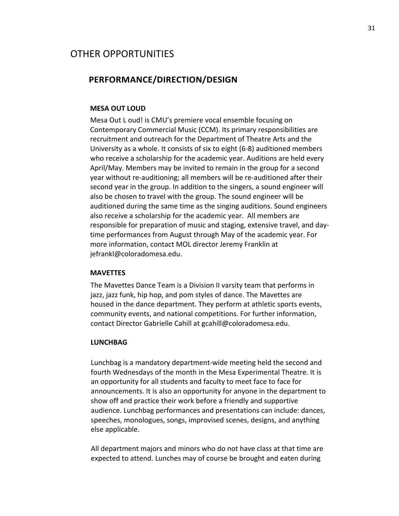# OTHER OPPORTUNITIES

## **PERFORMANCE/DIRECTION/DESIGN**

#### **MESA OUT LOUD**

Mesa Out L oud! is CMU's premiere vocal ensemble focusing on Contemporary Commercial Music (CCM). Its primary responsibilities are recruitment and outreach for the Department of Theatre Arts and the University as a whole. It consists of six to eight (6-8) auditioned members who receive a scholarship for the academic year. Auditions are held every April/May. Members may be invited to remain in the group for a second year without re-auditioning; all members will be re-auditioned after their second year in the group. In addition to the singers, a sound engineer will also be chosen to travel with the group. The sound engineer will be auditioned during the same time as the singing auditions. Sound engineers also receive a scholarship for the academic year. All members are responsible for preparation of music and staging, extensive travel, and daytime performances from August through May of the academic year. For more information, contact MOL director Jeremy Franklin at jefrankl@coloradomesa.edu.

#### **MAVETTES**

The Mavettes Dance Team is a Division II varsity team that performs in jazz, jazz funk, hip hop, and pom styles of dance. The Mavettes are housed in the dance department. They perform at athletic sports events, community events, and national competitions. For further information, contact Director Gabrielle Cahill at gcahill@coloradomesa.edu.

#### **LUNCHBAG**

Lunchbag is a mandatory department-wide meeting held the second and fourth Wednesdays of the month in the Mesa Experimental Theatre. It is an opportunity for all students and faculty to meet face to face for announcements. It is also an opportunity for anyone in the department to show off and practice their work before a friendly and supportive audience. Lunchbag performances and presentations can include: dances, speeches, monologues, songs, improvised scenes, designs, and anything else applicable.

All department majors and minors who do not have class at that time are expected to attend. Lunches may of course be brought and eaten during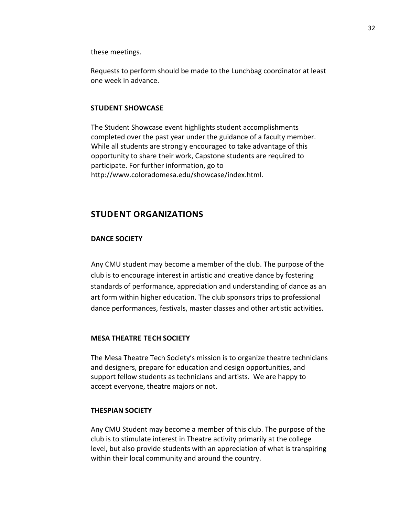these meetings.

Requests to perform should be made to the Lunchbag coordinator at least one week in advance.

#### **STUDENT SHOWCASE**

The Student Showcase event highlights student accomplishments completed over the past year under the guidance of a faculty member. While all students are strongly encouraged to take advantage of this opportunity to share their work, Capstone students are required to participate. For further information, go to http://www.coIoradomesa.edu/showcase/index.html.

## **STUDENT ORGANIZATIONS**

#### **DANCE SOCIETY**

Any CMU student may become a member of the club. The purpose of the club is to encourage interest in artistic and creative dance by fostering standards of performance, appreciation and understanding of dance as an art form within higher education. The club sponsors trips to professional dance performances, festivals, master classes and other artistic activities.

#### **MESA THEATRE TECH SOCIETY**

The Mesa Theatre Tech Society's mission is to organize theatre technicians and designers, prepare for education and design opportunities, and support fellow students as technicians and artists. We are happy to accept everyone, theatre majors or not.

## **THESPIAN SOCIETY**

Any CMU Student may become a member of this club. The purpose of the club is to stimulate interest in Theatre activity primarily at the college level, but also provide students with an appreciation of what is transpiring within their local community and around the country.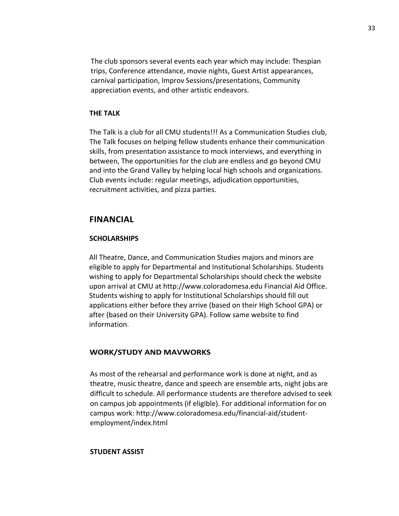The club sponsors several events each year which may include: Thespian trips, Conference attendance, movie nights, Guest Artist appearances, carnival participation, lmprov Sessions/presentations, Community appreciation events, and other artistic endeavors.

#### **THE TALK**

The Talk is a club for all CMU students!!! As a Communication Studies club, The Talk focuses on helping fellow students enhance their communication skills, from presentation assistance to mock interviews, and everything in between, The opportunities for the club are endless and go beyond CMU and into the Grand Valley by helping local high schools and organizations. Club events include: regular meetings, adjudication opportunities, recruitment activities, and pizza parties.

## **FINANCIAL**

#### **SCHOLARSHIPS**

All Theatre, Dance, and Communication Studies majors and minors are eligible to apply for Departmental and Institutional Scholarships. Students wishing to apply for Departmental Scholarships should check the website upon arrival at CMU at http://www.coloradomesa.edu Financial Aid Office. Students wishing to apply for Institutional Scholarships should fill out applications either before they arrive (based on their High School GPA) or after (based on their University GPA). Follow same website to find information.

#### **WORK/STUDY AND MAVWORKS**

As most of the rehearsal and performance work is done at night, and as theatre, music theatre, dance and speech are ensemble arts, night jobs are difficult to schedule. All performance students are therefore advised to seek on campus job appointments (if eligible). For additional information for on campus work: http://www.coIoradomesa.edu/financial-aid/studentemployment/index.html

#### **STUDENT ASSIST**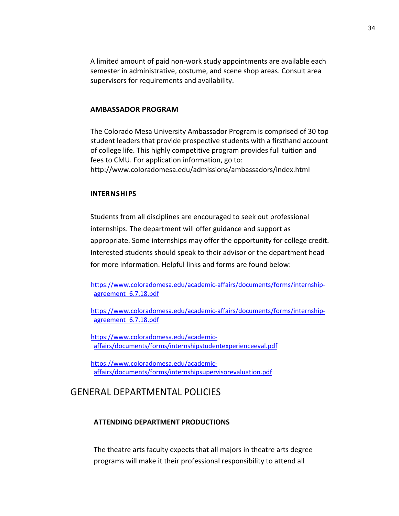A limited amount of paid non-work study appointments are available each semester in administrative, costume, and scene shop areas. Consult area supervisors for requirements and availability.

#### **AMBASSADOR PROGRAM**

The Colorado Mesa University Ambassador Program is comprised of 30 top student leaders that provide prospective students with a firsthand account of college life. This highly competitive program provides full tuition and fees to CMU. For application information, go to: http://www.coIoradomesa.edu/admissions/ambassadors/index.html

#### **INTERNSHIPS**

Students from all disciplines are encouraged to seek out professional internships. The department will offer guidance and support as appropriate. Some internships may offer the opportunity for college credit. Interested students should speak to their advisor or the department head for more information. Helpful links and forms are found below:

https://www.coloradomesa.edu/academic-affairs/documents/forms/internshipagreement\_6.7.18.pdf

https://www.coloradomesa.edu/academic-affairs/documents/forms/internshipagreement\_6.7.18.pdf

https://www.coloradomesa.edu/academicaffairs/documents/forms/internshipstudentexperienceeval.pdf

https://www.coloradomesa.edu/academicaffairs/documents/forms/internshipsupervisorevaluation.pdf

# GENERAL DEPARTMENTAL POLICIES

#### **ATTENDING DEPARTMENT PRODUCTIONS**

The theatre arts faculty expects that all majors in theatre arts degree programs will make it their professional responsibility to attend all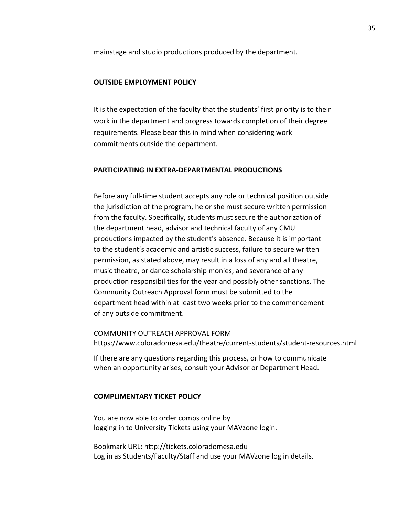mainstage and studio productions produced by the department.

#### **OUTSIDE EMPLOYMENT POLICY**

It is the expectation of the faculty that the students' first priority is to their work in the department and progress towards completion of their degree requirements. Please bear this in mind when considering work commitments outside the department.

## **PARTICIPATING IN EXTRA-DEPARTMENTAL PRODUCTIONS**

Before any full-time student accepts any role or technical position outside the jurisdiction of the program, he or she must secure written permission from the faculty. Specifically, students must secure the authorization of the department head, advisor and technical faculty of any CMU productions impacted by the student's absence. Because it is important to the student's academic and artistic success, failure to secure written permission, as stated above, may result in a loss of any and all theatre, music theatre, or dance scholarship monies; and severance of any production responsibilities for the year and possibly other sanctions. The Community Outreach Approval form must be submitted to the department head within at least two weeks prior to the commencement of any outside commitment.

COMMUNITY OUTREACH APPROVAL FORM https://www.coloradomesa.edu/theatre/current-students/student-resources.html

If there are any questions regarding this process, or how to communicate when an opportunity arises, consult your Advisor or Department Head.

#### **COMPLIMENTARY TICKET POLICY**

You are now able to order comps online by logging in to University Tickets using your MAVzone login.

Bookmark URL: http://tickets.coloradomesa.edu Log in as Students/Faculty/Staff and use your MAVzone log in details.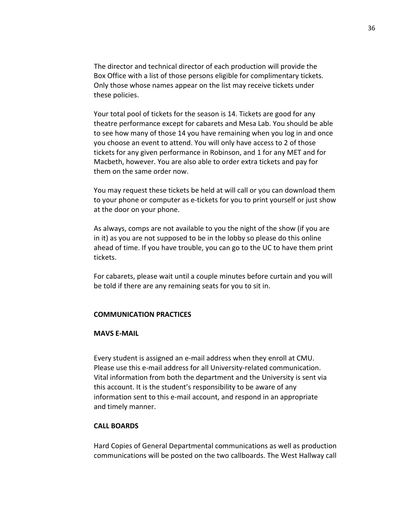The director and technical director of each production will provide the Box Office with a list of those persons eligible for complimentary tickets. Only those whose names appear on the list may receive tickets under these policies.

Your total pool of tickets for the season is 14. Tickets are good for any theatre performance except for cabarets and Mesa Lab. You should be able to see how many of those 14 you have remaining when you log in and once you choose an event to attend. You will only have access to 2 of those tickets for any given performance in Robinson, and 1 for any MET and for Macbeth, however. You are also able to order extra tickets and pay for them on the same order now.

You may request these tickets be held at will call or you can download them to your phone or computer as e-tickets for you to print yourself or just show at the door on your phone.

As always, comps are not available to you the night of the show (if you are in it) as you are not supposed to be in the lobby so please do this online ahead of time. If you have trouble, you can go to the UC to have them print tickets.

For cabarets, please wait until a couple minutes before curtain and you will be told if there are any remaining seats for you to sit in.

#### **COMMUNICATION PRACTICES**

### **MAVS E-MAIL**

Every student is assigned an e-mail address when they enroll at CMU. Please use this e-mail address for all University-related communication. Vital information from both the department and the University is sent via this account. It is the student's responsibility to be aware of any information sent to this e-mail account, and respond in an appropriate and timely manner.

## **CALL BOARDS**

Hard Copies of General Departmental communications as well as production communications will be posted on the two callboards. The West Hallway call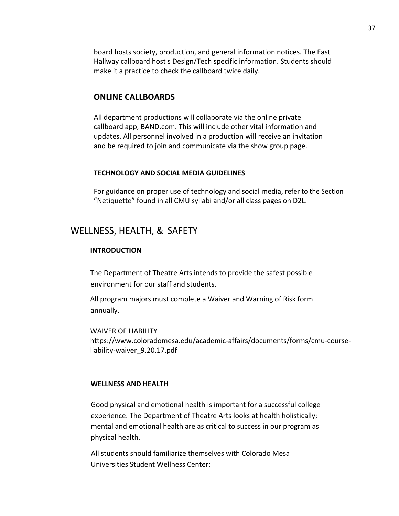board hosts society, production, and general information notices. The East Hallway callboard host s Design/Tech specific information. Students should make it a practice to check the callboard twice daily.

## **ONLINE CALLBOARDS**

All department productions will collaborate via the online private callboard app, BAND.com. This will include other vital information and updates. All personnel involved in a production will receive an invitation and be required to join and communicate via the show group page.

#### **TECHNOLOGY AND SOCIAL MEDIA GUIDELINES**

For guidance on proper use of technology and social media, refer to the Section "Netiquette" found in all CMU syllabi and/or all class pages on D2L.

## WELLNESS, HEALTH, & SAFETY

## **INTRODUCTION**

The Department of Theatre Arts intends to provide the safest possible environment for our staff and students.

All program majors must complete a Waiver and Warning of Risk form annually.

WAIVER OF LIABILITY https://www.coloradomesa.edu/academic-affairs/documents/forms/cmu-courseliability-waiver\_9.20.17.pdf

### **WELLNESS AND HEALTH**

Good physical and emotional health is important for a successful college experience. The Department of Theatre Arts looks at health holistically; mental and emotional health are as critical to success in our program as physical health.

All students should familiarize themselves with Colorado Mesa Universities Student Wellness Center: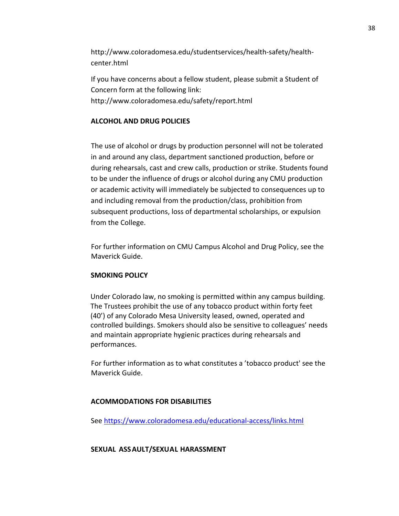http://www.coIoradomesa.edu/studentservices/health-safety/healthcenter.html

If you have concerns about a fellow student, please submit a Student of Concern form at the following link: http://www.coloradomesa.edu/safety/report.html

## **ALCOHOL AND DRUG POLICIES**

The use of alcohol or drugs by production personnel will not be tolerated in and around any class, department sanctioned production, before or during rehearsals, cast and crew calls, production or strike. Students found to be under the influence of drugs or alcohol during any CMU production or academic activity will immediately be subjected to consequences up to and including removal from the production/class, prohibition from subsequent productions, loss of departmental scholarships, or expulsion from the College.

For further information on CMU Campus Alcohol and Drug Policy, see the Maverick Guide.

## **SMOKING POLICY**

Under Colorado law, no smoking is permitted within any campus building. The Trustees prohibit the use of any tobacco product within forty feet (40') of any Colorado Mesa University leased, owned, operated and controlled buildings. Smokers should also be sensitive to colleagues' needs and maintain appropriate hygienic practices during rehearsals and performances.

For further information as to what constitutes a 'tobacco product' see the Maverick Guide.

### **ACOMMODATIONS FOR DISABILITIES**

See https://www.coloradomesa.edu/educational-access/links.html

### **SEXUAL ASSAULT/SEXUAL HARASSMENT**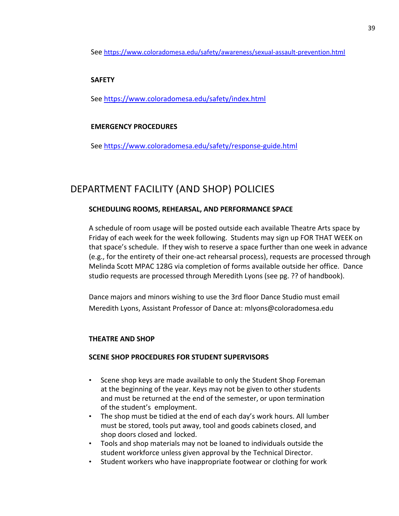See https://www.coloradomesa.edu/safety/awareness/sexual-assault-prevention.html

## **SAFETY**

See https://www.coloradomesa.edu/safety/index.html

## **EMERGENCY PROCEDURES**

See https://www.coloradomesa.edu/safety/response-guide.html

# DEPARTMENT FACILITY (AND SHOP) POLICIES

## **SCHEDULING ROOMS, REHEARSAL, AND PERFORMANCE SPACE**

A schedule of room usage will be posted outside each available Theatre Arts space by Friday of each week for the week following. Students may sign up FOR THAT WEEK on that space's schedule. If they wish to reserve a space further than one week in advance (e.g., for the entirety of their one-act rehearsal process), requests are processed through Melinda Scott MPAC 128G via completion of forms available outside her office. Dance studio requests are processed through Meredith Lyons (see pg. ?? of handbook).

Dance majors and minors wishing to use the 3rd floor Dance Studio must email Meredith Lyons, Assistant Professor of Dance at: mlyons@coloradomesa.edu

## **THEATRE AND SHOP**

## **SCENE SHOP PROCEDURES FOR STUDENT SUPERVISORS**

- Scene shop keys are made available to only the Student Shop Foreman at the beginning of the year. Keys may not be given to other students and must be returned at the end of the semester, or upon termination of the student's employment.
- The shop must be tidied at the end of each day's work hours. All lumber must be stored, tools put away, tool and goods cabinets closed, and shop doors closed and locked.
- Tools and shop materials may not be loaned to individuals outside the student workforce unless given approval by the Technical Director.
- Student workers who have inappropriate footwear or clothing for work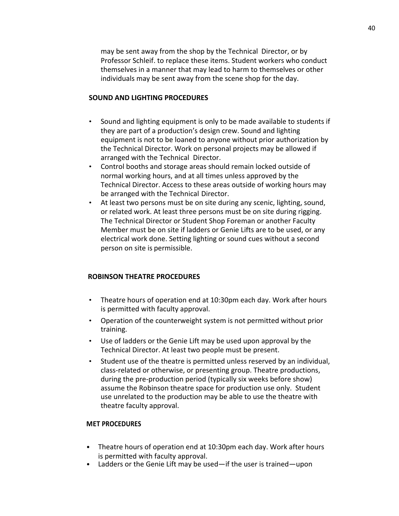may be sent away from the shop by the Technical Director, or by Professor Schleif. to replace these items. Student workers who conduct themselves in a manner that may lead to harm to themselves or other individuals may be sent away from the scene shop for the day.

### **SOUND AND LIGHTING PROCEDURES**

- Sound and lighting equipment is only to be made available to students if they are part of a production's design crew. Sound and lighting equipment is not to be loaned to anyone without prior authorization by the Technical Director. Work on personal projects may be allowed if arranged with the Technical Director.
- Control booths and storage areas should remain locked outside of normal working hours, and at all times unless approved by the Technical Director. Access to these areas outside of working hours may be arranged with the Technical Director.
- At least two persons must be on site during any scenic, lighting, sound, or related work. At least three persons must be on site during rigging. The Technical Director or Student Shop Foreman or another Faculty Member must be on site if ladders or Genie Lifts are to be used, or any electrical work done. Setting lighting or sound cues without a second person on site is permissible.

## **ROBINSON THEATRE PROCEDURES**

- Theatre hours of operation end at 10:30pm each day. Work after hours is permitted with faculty approval.
- Operation of the counterweight system is not permitted without prior training.
- Use of ladders or the Genie Lift may be used upon approval by the Technical Director. At least two people must be present.
- Student use of the theatre is permitted unless reserved by an individual, class-related or otherwise, or presenting group. Theatre productions, during the pre-production period (typically six weeks before show) assume the Robinson theatre space for production use only. Student use unrelated to the production may be able to use the theatre with theatre faculty approval.

### **MET PROCEDURES**

- Theatre hours of operation end at 10:30pm each day. Work after hours is permitted with faculty approval.
- Ladders or the Genie Lift may be used—if the user is trained—upon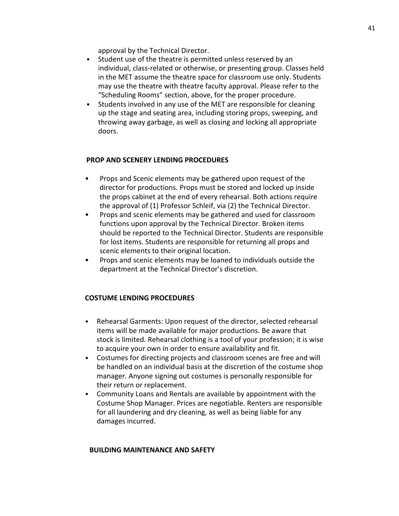approval by the Technical Director.

- Student use of the theatre is permitted unless reserved by an individual, class-related or otherwise, or presenting group. Classes held in the MET assume the theatre space for classroom use only. Students may use the theatre with theatre faculty approval. Please refer to the "Scheduling Rooms" section, above, for the proper procedure.
- Students involved in any use of the MET are responsible for cleaning up the stage and seating area, including storing props, sweeping, and throwing away garbage, as well as closing and locking all appropriate doors.

## **PROP AND SCENERY LENDING PROCEDURES**

- Props and Scenic elements may be gathered upon request of the director for productions. Props must be stored and locked up inside the props cabinet at the end of every rehearsal. Both actions require the approval of (1) Professor Schleif, via (2) the Technical Director.
- Props and scenic elements may be gathered and used for classroom functions upon approval by the Technical Director. Broken items should be reported to the Technical Director. Students are responsible for lost items. Students are responsible for returning all props and scenic elements to their original location.
- Props and scenic elements may be loaned to individuals outside the department at the Technical Director's discretion.

## **COSTUME LENDING PROCEDURES**

- Rehearsal Garments: Upon request of the director, selected rehearsal items will be made available for major productions. Be aware that stock is limited. Rehearsal clothing is a tool of your profession; it is wise to acquire your own in order to ensure availability and fit.
- Costumes for directing projects and classroom scenes are free and will be handled on an individual basis at the discretion of the costume shop manager. Anyone signing out costumes is personally responsible for their return or replacement.
- Community Loans and Rentals are available by appointment with the Costume Shop Manager. Prices are negotiable. Renters are responsible for all laundering and dry cleaning, as well as being liable for any damages incurred.

## **BUILDING MAINTENANCE AND SAFETY**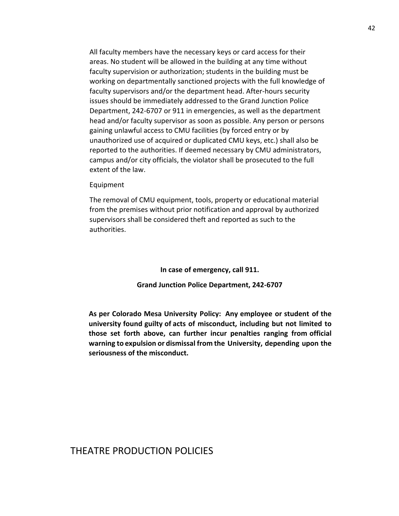All faculty members have the necessary keys or card access for their areas. No student will be allowed in the building at any time without faculty supervision or authorization; students in the building must be working on departmentally sanctioned projects with the full knowledge of faculty supervisors and/or the department head. After-hours security issues should be immediately addressed to the Grand Junction Police Department, 242-6707 or 911 in emergencies, as well as the department head and/or faculty supervisor as soon as possible. Any person or persons gaining unlawful access to CMU facilities (by forced entry or by unauthorized use of acquired or duplicated CMU keys, etc.) shall also be reported to the authorities. If deemed necessary by CMU administrators, campus and/or city officials, the violator shall be prosecuted to the full extent of the law.

#### Equipment

The removal of CMU equipment, tools, property or educational material from the premises without prior notification and approval by authorized supervisors shall be considered theft and reported as such to the authorities.

> **In case of emergency, call 911. Grand Junction Police Department, 242-6707**

**As per Colorado Mesa University Policy: Any employee or student of the university found guilty of acts of misconduct, including but not limited to those set forth above, can further incur penalties ranging from official warning to expulsion or dismissal from the University, depending upon the seriousness of the misconduct.**

## THEATRE PRODUCTION POLICIES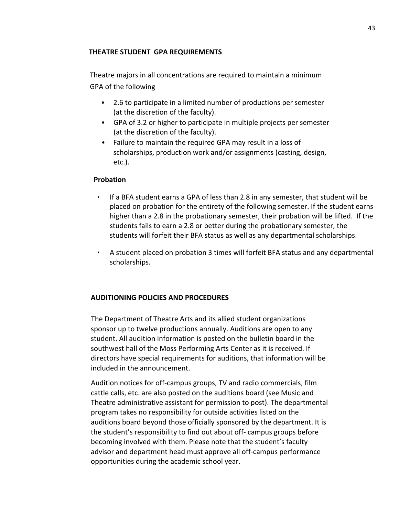## **THEATRE STUDENT GPA REQUIREMENTS**

Theatre majors in all concentrations are required to maintain a minimum GPA of the following

- 2.6 to participate in a limited number of productions per semester (at the discretion of the faculty).
- GPA of 3.2 or higher to participate in multiple projects per semester (at the discretion of the faculty).
- Failure to maintain the required GPA may result in a loss of scholarships, production work and/or assignments (casting, design, etc.).

## **Probation**

- If a BFA student earns a GPA of less than 2.8 in any semester, that student will be placed on probation for the entirety of the following semester. If the student earns higher than a 2.8 in the probationary semester, their probation will be lifted. If the students fails to earn a 2.8 or better during the probationary semester, the students will forfeit their BFA status as well as any departmental scholarships.
- A student placed on probation 3 times will forfeit BFA status and any departmental scholarships.

## **AUDITIONING POLICIES AND PROCEDURES**

The Department of Theatre Arts and its allied student organizations sponsor up to twelve productions annually. Auditions are open to any student. All audition information is posted on the bulletin board in the southwest hall of the Moss Performing Arts Center as it is received. If directors have special requirements for auditions, that information will be included in the announcement.

Audition notices for off-campus groups, TV and radio commercials, film cattle calls, etc. are also posted on the auditions board (see Music and Theatre administrative assistant for permission to post). The departmental program takes no responsibility for outside activities listed on the auditions board beyond those officially sponsored by the department. It is the student's responsibility to find out about off- campus groups before becoming involved with them. Please note that the student's faculty advisor and department head must approve all off-campus performance opportunities during the academic school year.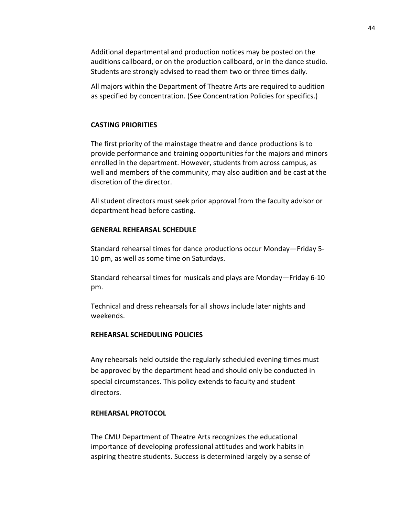Additional departmental and production notices may be posted on the auditions callboard, or on the production callboard, or in the dance studio. Students are strongly advised to read them two or three times daily.

All majors within the Department of Theatre Arts are required to audition as specified by concentration. (See Concentration Policies for specifics.)

#### **CASTING PRIORITIES**

The first priority of the mainstage theatre and dance productions is to provide performance and training opportunities for the majors and minors enrolled in the department. However, students from across campus, as well and members of the community, may also audition and be cast at the discretion of the director.

All student directors must seek prior approval from the faculty advisor or department head before casting.

#### **GENERAL REHEARSAL SCHEDULE**

Standard rehearsal times for dance productions occur Monday—Friday 5- 10 pm, as well as some time on Saturdays.

Standard rehearsal times for musicals and plays are Monday—Friday 6-10 pm.

Technical and dress rehearsals for all shows include later nights and weekends.

## **REHEARSAL SCHEDULING POLICIES**

Any rehearsals held outside the regularly scheduled evening times must be approved by the department head and should only be conducted in special circumstances. This policy extends to faculty and student directors.

#### **REHEARSAL PROTOCOL**

The CMU Department of Theatre Arts recognizes the educational importance of developing professional attitudes and work habits in aspiring theatre students. Success is determined largely by a sense of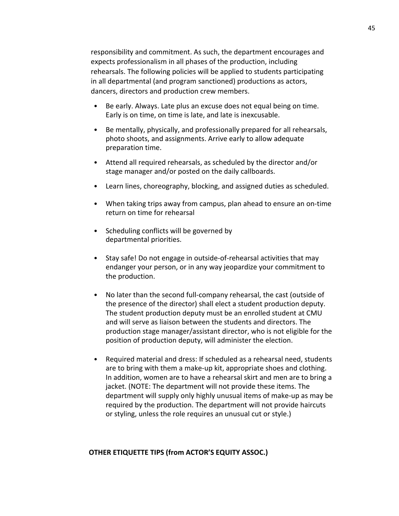responsibility and commitment. As such, the department encourages and expects professionalism in all phases of the production, including rehearsals. The following policies will be applied to students participating in all departmental (and program sanctioned) productions as actors, dancers, directors and production crew members.

- Be early. Always. Late plus an excuse does not equal being on time. Early is on time, on time is late, and late is inexcusable.
- Be mentally, physically, and professionally prepared for all rehearsals, photo shoots, and assignments. Arrive early to allow adequate preparation time.
- Attend all required rehearsals, as scheduled by the director and/or stage manager and/or posted on the daily callboards.
- Learn lines, choreography, blocking, and assigned duties as scheduled.
- When taking trips away from campus, plan ahead to ensure an on-time return on time for rehearsal
- Scheduling conflicts will be governed by departmental priorities.
- Stay safe! Do not engage in outside-of-rehearsal activities that may endanger your person, or in any way jeopardize your commitment to the production.
- No later than the second full-company rehearsal, the cast (outside of the presence of the director) shall elect a student production deputy. The student production deputy must be an enrolled student at CMU and will serve as liaison between the students and directors. The production stage manager/assistant director, who is not eligible for the position of production deputy, will administer the election.
- Required material and dress: If scheduled as a rehearsal need, students are to bring with them a make-up kit, appropriate shoes and clothing. In addition, women are to have a rehearsal skirt and men are to bring a jacket. (NOTE: The department will not provide these items. The department will supply only highly unusual items of make-up as may be required by the production. The department will not provide haircuts or styling, unless the role requires an unusual cut or style.)

#### **OTHER ETIQUETTE TIPS (from ACTOR'S EQUITY ASSOC.)**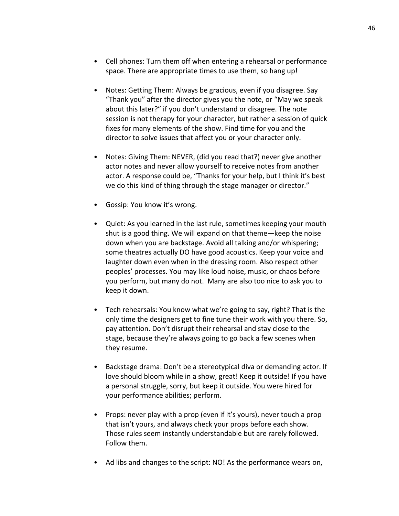- Cell phones: Turn them off when entering a rehearsal or performance space. There are appropriate times to use them, so hang up!
- Notes: Getting Them: Always be gracious, even if you disagree. Say "Thank you" after the director gives you the note, or "May we speak about this later?" if you don't understand or disagree. The note session is not therapy for your character, but rather a session of quick fixes for many elements of the show. Find time for you and the director to solve issues that affect you or your character only.
- Notes: Giving Them: NEVER, (did you read that?) never give another actor notes and never allow yourself to receive notes from another actor. A response could be, "Thanks for your help, but I think it's best we do this kind of thing through the stage manager or director."
- Gossip: You know it's wrong.
- Quiet: As you learned in the last rule, sometimes keeping your mouth shut is a good thing. We will expand on that theme—keep the noise down when you are backstage. Avoid all talking and/or whispering; some theatres actually DO have good acoustics. Keep your voice and laughter down even when in the dressing room. Also respect other peoples' processes. You may like loud noise, music, or chaos before you perform, but many do not. Many are also too nice to ask you to keep it down.
- Tech rehearsals: You know what we're going to say, right? That is the only time the designers get to fine tune their work with you there. So, pay attention. Don't disrupt their rehearsal and stay close to the stage, because they're always going to go back a few scenes when they resume.
- Backstage drama: Don't be a stereotypical diva or demanding actor. If love should bloom while in a show, great! Keep it outside! If you have a personal struggle, sorry, but keep it outside. You were hired for your performance abilities; perform.
- Props: never play with a prop (even if it's yours), never touch a prop that isn't yours, and always check your props before each show. Those rules seem instantly understandable but are rarely followed. Follow them.
- Ad libs and changes to the script: NO! As the performance wears on,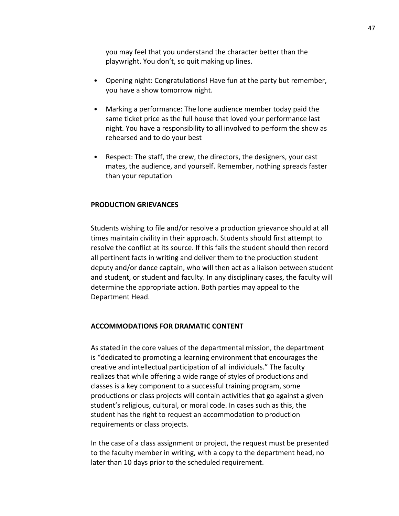you may feel that you understand the character better than the playwright. You don't, so quit making up lines.

- Opening night: Congratulations! Have fun at the party but remember, you have a show tomorrow night.
- Marking a performance: The lone audience member today paid the same ticket price as the full house that loved your performance last night. You have a responsibility to all involved to perform the show as rehearsed and to do your best
- Respect: The staff, the crew, the directors, the designers, your cast mates, the audience, and yourself. Remember, nothing spreads faster than your reputation

### **PRODUCTION GRIEVANCES**

Students wishing to file and/or resolve a production grievance should at all times maintain civility in their approach. Students should first attempt to resolve the conflict at its source. If this fails the student should then record all pertinent facts in writing and deliver them to the production student deputy and/or dance captain, who will then act as a liaison between student and student, or student and faculty. In any disciplinary cases, the faculty will determine the appropriate action. Both parties may appeal to the Department Head.

#### **ACCOMMODATIONS FOR DRAMATIC CONTENT**

As stated in the core values of the departmental mission, the department is "dedicated to promoting a learning environment that encourages the creative and intellectual participation of all individuals." The faculty realizes that while offering a wide range of styles of productions and classes is a key component to a successful training program, some productions or class projects will contain activities that go against a given student's religious, cultural, or moral code. In cases such as this, the student has the right to request an accommodation to production requirements or class projects.

In the case of a class assignment or project, the request must be presented to the faculty member in writing, with a copy to the department head, no later than 10 days prior to the scheduled requirement.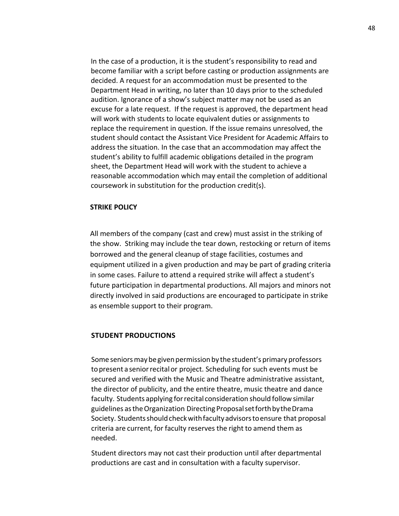In the case of a production, it is the student's responsibility to read and become familiar with a script before casting or production assignments are decided. A request for an accommodation must be presented to the Department Head in writing, no later than 10 days prior to the scheduled audition. Ignorance of a show's subject matter may not be used as an excuse for a late request. If the request is approved, the department head will work with students to locate equivalent duties or assignments to replace the requirement in question. If the issue remains unresolved, the student should contact the Assistant Vice President for Academic Affairs to address the situation. In the case that an accommodation may affect the student's ability to fulfill academic obligations detailed in the program sheet, the Department Head will work with the student to achieve a reasonable accommodation which may entail the completion of additional coursework in substitution for the production credit(s).

#### **STRIKE POLICY**

All members of the company (cast and crew) must assist in the striking of the show. Striking may include the tear down, restocking or return of items borrowed and the general cleanup of stage facilities, costumes and equipment utilized in a given production and may be part of grading criteria in some cases. Failure to attend a required strike will affect a student's future participation in departmental productions. All majors and minors not directly involved in said productions are encouraged to participate in strike as ensemble support to their program.

#### **STUDENT PRODUCTIONS**

Some seniors may be given permission by the student's primary professors topresent a seniorrecitalor project. Scheduling for such events must be secured and verified with the Music and Theatre administrative assistant, the director of publicity, and the entire theatre, music theatre and dance faculty. Students applying forrecital consideration should follow similar guidelines astheOrganization Directing ProposalsetforthbytheDrama Society. Students should check with faculty advisors to ensure that proposal criteria are current, for faculty reserves the right to amend them as needed.

Student directors may not cast their production until after departmental productions are cast and in consultation with a faculty supervisor.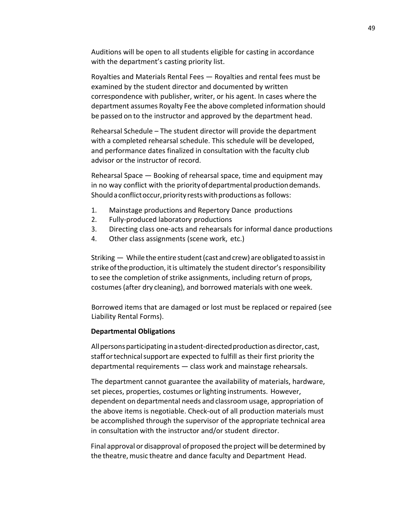Auditions will be open to all students eligible for casting in accordance with the department's casting priority list.

Royalties and Materials Rental Fees — Royalties and rental fees must be examined by the student director and documented by written correspondence with publisher, writer, or his agent. In cases where the department assumes Royalty Fee the above completed information should be passed on to the instructor and approved by the department head.

Rehearsal Schedule – The student director will provide the department with a completed rehearsal schedule. This schedule will be developed, and performance dates finalized in consultation with the faculty club advisor or the instructor of record.

Rehearsal Space — Booking of rehearsal space, time and equipment may in no way conflict with the priorityofdepartmental productiondemands. Should a conflict occur, priority rests with productions as follows:

- 1. Mainstage productions and Repertory Dance productions
- 2. Fully-produced laboratory productions
- 3. Directing class one-acts and rehearsals for informal dance productions
- 4. Other class assignments (scene work, etc.)

Striking  $-$  While the entire student (cast and crew) are obligated to assist in strike of the production, it is ultimately the student director's responsibility to see the completion of strike assignments, including return of props, costumes(after dry cleaning), and borrowed materials with one week.

Borrowed items that are damaged or lost must be replaced or repaired (see Liability Rental Forms).

### **Departmental Obligations**

All persons participating in a student-directed production as director, cast, staffortechnicalsupport are expected to fulfill as their first priority the departmental requirements — class work and mainstage rehearsals.

The department cannot guarantee the availability of materials, hardware, set pieces, properties, costumes or lighting instruments. However, dependent on departmental needs and classroom usage, appropriation of the above items is negotiable. Check-out of all production materials must be accomplished through the supervisor of the appropriate technical area in consultation with the instructor and/or student director.

Final approval or disapproval of proposed the project will be determined by the theatre,music theatre and dance faculty and Department Head.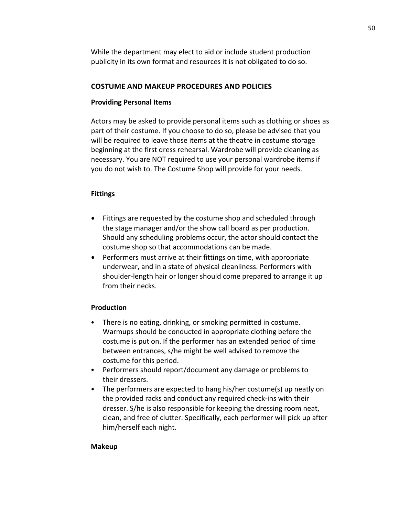While the department may elect to aid or include student production publicity in its own format and resources it is not obligated to do so.

## **COSTUME AND MAKEUP PROCEDURES AND POLICIES**

## **Providing Personal Items**

Actors may be asked to provide personal items such as clothing or shoes as part of their costume. If you choose to do so, please be advised that you will be required to leave those items at the theatre in costume storage beginning at the first dress rehearsal. Wardrobe will provide cleaning as necessary. You are NOT required to use your personal wardrobe items if you do not wish to. The Costume Shop will provide for your needs.

## **Fittings**

- Fittings are requested by the costume shop and scheduled through the stage manager and/or the show call board as per production. Should any scheduling problems occur, the actor should contact the costume shop so that accommodations can be made.
- Performers must arrive at their fittings on time, with appropriate underwear, and in a state of physical cleanliness. Performers with shoulder-length hair or longer should come prepared to arrange it up from their necks.

### **Production**

- There is no eating, drinking, or smoking permitted in costume. Warmups should be conducted in appropriate clothing before the costume is put on. If the performer has an extended period of time between entrances, s/he might be well advised to remove the costume for this period.
- Performers should report/document any damage or problems to their dressers.
- The performers are expected to hang his/her costume(s) up neatly on the provided racks and conduct any required check-ins with their dresser. S/he is also responsible for keeping the dressing room neat, clean, and free of clutter. Specifically, each performer will pick up after him/herself each night.

### **Makeup**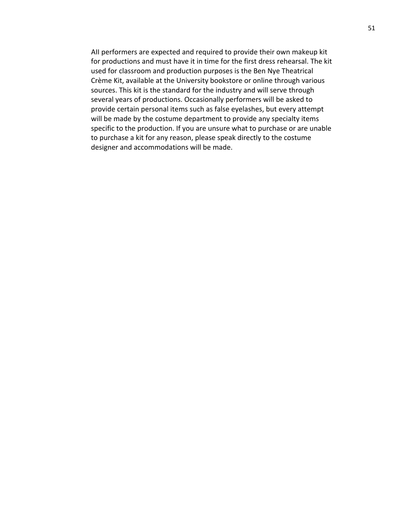AII performers are expected and required to provide their own makeup kit for productions and must have it in time for the first dress rehearsal. The kit used for classroom and production purposes is the Ben Nye Theatrical Crème Kit, available at the University bookstore or online through various sources. This kit is the standard for the industry and will serve through several years of productions. Occasionally performers will be asked to provide certain personal items such as false eyelashes, but every attempt will be made by the costume department to provide any specialty items specific to the production. If you are unsure what to purchase or are unable to purchase a kit for any reason, please speak directly to the costume designer and accommodations will be made.